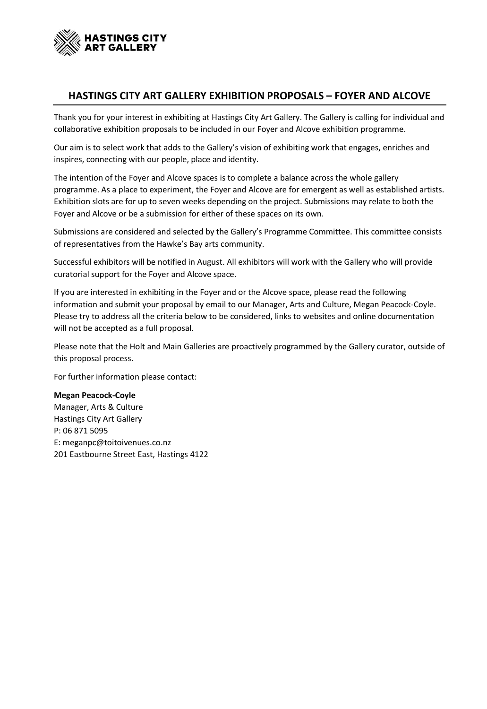

# **HASTINGS CITY ART GALLERY EXHIBITION PROPOSALS – FOYER AND ALCOVE**

Thank you for your interest in exhibiting at Hastings City Art Gallery. The Gallery is calling for individual and collaborative exhibition proposals to be included in our Foyer and Alcove exhibition programme.

Our aim is to select work that adds to the Gallery's vision of exhibiting work that engages, enriches and inspires, connecting with our people, place and identity.

The intention of the Foyer and Alcove spaces is to complete a balance across the whole gallery programme. As a place to experiment, the Foyer and Alcove are for emergent as well as established artists. Exhibition slots are for up to seven weeks depending on the project. Submissions may relate to both the Foyer and Alcove or be a submission for either of these spaces on its own.

Submissions are considered and selected by the Gallery's Programme Committee. This committee consists of representatives from the Hawke's Bay arts community.

Successful exhibitors will be notified in August. All exhibitors will work with the Gallery who will provide curatorial support for the Foyer and Alcove space.

If you are interested in exhibiting in the Foyer and or the Alcove space, please read the following information and submit your proposal by email to our Manager, Arts and Culture, Megan Peacock-Coyle. Please try to address all the criteria below to be considered, links to websites and online documentation will not be accepted as a full proposal.

Please note that the Holt and Main Galleries are proactively programmed by the Gallery curator, outside of this proposal process.

For further information please contact:

**Megan Peacock-Coyle** Manager, Arts & Culture Hastings City Art Gallery P: 06 871 5095 E: meganpc@toitoivenues.co.nz 201 Eastbourne Street East, Hastings 4122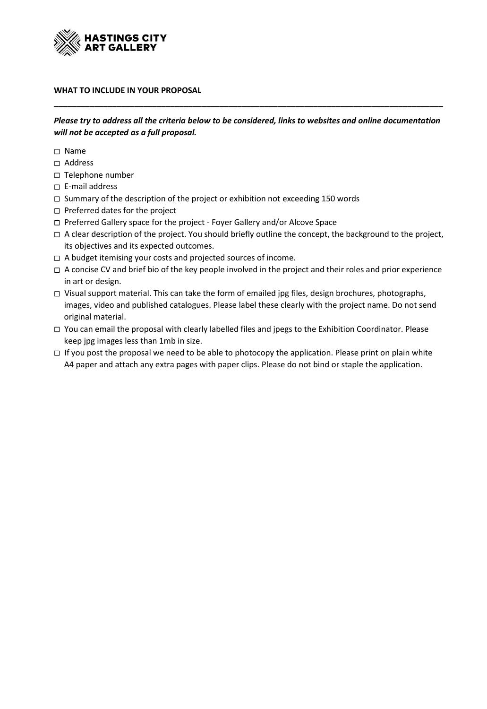

### **WHAT TO INCLUDE IN YOUR PROPOSAL**

*Please try to address all the criteria below to be considered, links to websites and online documentation will not be accepted as a full proposal.*

**\_\_\_\_\_\_\_\_\_\_\_\_\_\_\_\_\_\_\_\_\_\_\_\_\_\_\_\_\_\_\_\_\_\_\_\_\_\_\_\_\_\_\_\_\_\_\_\_\_\_\_\_\_\_\_\_\_\_\_\_\_\_\_\_\_\_\_\_\_\_\_\_\_\_\_\_\_\_\_\_\_\_\_\_\_\_\_**

- □ Name
- Address
- Telephone number
- E-mail address
- □ Summary of the description of the project or exhibition not exceeding 150 words
- Preferred dates for the project
- □ Preferred Gallery space for the project Foyer Gallery and/or Alcove Space
- A clear description of the project. You should briefly outline the concept, the background to the project, its objectives and its expected outcomes.
- A budget itemising your costs and projected sources of income.
- $\Box$  A concise CV and brief bio of the key people involved in the project and their roles and prior experience in art or design.
- Visual support material. This can take the form of emailed jpg files, design brochures, photographs, images, video and published catalogues. Please label these clearly with the project name. Do not send original material.
- You can email the proposal with clearly labelled files and jpegs to the Exhibition Coordinator. Please keep jpg images less than 1mb in size.
- If you post the proposal we need to be able to photocopy the application. Please print on plain white A4 paper and attach any extra pages with paper clips. Please do not bind or staple the application.